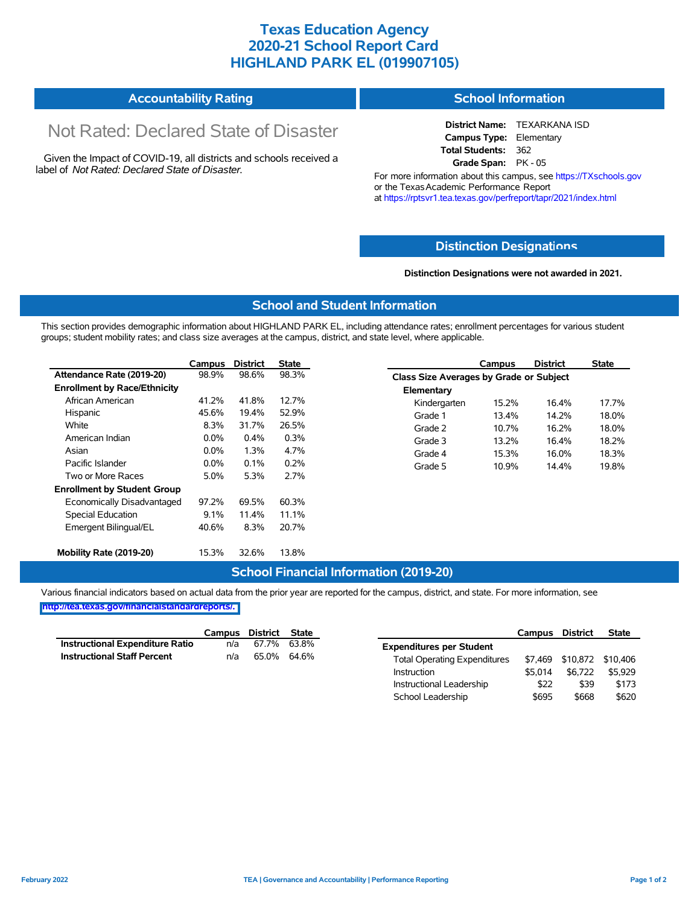## **Texas Education Agency 2020-21 School Report Card HIGHLAND PARK EL (019907105)**

| <b>Accountability Rating</b> | <b>School Information</b> |
|------------------------------|---------------------------|
|------------------------------|---------------------------|

# Not Rated: Declared State of Disaster

Given the Impact of COVID-19, all districts and schools received a label of *Not Rated: Declared State of Disaster.*

**District Name:** TEXARKANA ISD **Campus Type:** Elementary **Total Students:** 362 **Grade Span:** PK - 05

For more information about this campus, see https://TXschools.gov or the Texas Academic Performance Report at https://rptsvr1.tea.texas.gov/perfreport/tapr/2021/index.html

#### **Distinction Designat[ions](https://TXschools.gov)**

**Distinction Designations were not awarded in 2021.**

School Leadership  $$695$  \$668 \$620

#### **School and Student Information**

This section provides demographic information about HIGHLAND PARK EL, including attendance rates; enrollment percentages for various student groups; student mobility rates; and class size averages at the campus, district, and state level, where applicable.

|                                     | Campus  | <b>District</b> | <b>State</b> |              | Campus                                  | <b>District</b> | <b>State</b> |  |  |
|-------------------------------------|---------|-----------------|--------------|--------------|-----------------------------------------|-----------------|--------------|--|--|
| Attendance Rate (2019-20)           | 98.9%   | 98.6%           | 98.3%        |              | Class Size Averages by Grade or Subject |                 |              |  |  |
| <b>Enrollment by Race/Ethnicity</b> |         |                 |              | Elementary   |                                         |                 |              |  |  |
| African American                    | 41.2%   | 41.8%           | 12.7%        | Kindergarten | 15.2%                                   | 16.4%           | 17.7%        |  |  |
| Hispanic                            | 45.6%   | 19.4%           | 52.9%        | Grade 1      | 13.4%                                   | 14.2%           | 18.0%        |  |  |
| White                               | 8.3%    | 31.7%           | 26.5%        | Grade 2      | 10.7%                                   | 16.2%           | 18.0%        |  |  |
| American Indian                     | $0.0\%$ | 0.4%            | 0.3%         | Grade 3      | 13.2%                                   | 16.4%           | 18.2%        |  |  |
| Asian                               | $0.0\%$ | 1.3%            | 4.7%         | Grade 4      | 15.3%                                   | 16.0%           | 18.3%        |  |  |
| Pacific Islander                    | $0.0\%$ | 0.1%            | 0.2%         | Grade 5      | 10.9%                                   | 14.4%           | 19.8%        |  |  |
| Two or More Races                   | 5.0%    | 5.3%            | 2.7%         |              |                                         |                 |              |  |  |
| <b>Enrollment by Student Group</b>  |         |                 |              |              |                                         |                 |              |  |  |
| Economically Disadvantaged          | 97.2%   | 69.5%           | 60.3%        |              |                                         |                 |              |  |  |
| Special Education                   | 9.1%    | 11.4%           | 11.1%        |              |                                         |                 |              |  |  |
| Emergent Bilingual/EL               | 40.6%   | 8.3%            | 20.7%        |              |                                         |                 |              |  |  |
|                                     |         |                 |              |              |                                         |                 |              |  |  |
| Mobility Rate (2019-20)             | 15.3%   | 32.6%           | 13.8%        |              |                                         |                 |              |  |  |

#### **School Financial Information (2019-20)**

Various financial indicators based on actual data from the prior year are reported for the campus, district, and state. For more information, see

**[http://tea.texas.gov/financialstandardreports/.](http://tea.texas.gov/financialstandardreports/)**

|                                    | Campus | District State |             |                                     | Campus  | <b>District</b>           | <b>State</b> |
|------------------------------------|--------|----------------|-------------|-------------------------------------|---------|---------------------------|--------------|
| Instructional Expenditure Ratio    | n/a    | 67.7%          | 63.8%       | <b>Expenditures per Student</b>     |         |                           |              |
| <b>Instructional Staff Percent</b> | n/a    |                | 65.0% 64.6% | <b>Total Operating Expenditures</b> |         | \$7,469 \$10,872 \$10,406 |              |
|                                    |        |                |             | Instruction                         | \$5.014 | \$6.722                   | \$5.929      |
|                                    |        |                |             | Instructional Leadership            | \$22    | \$39                      | \$173        |